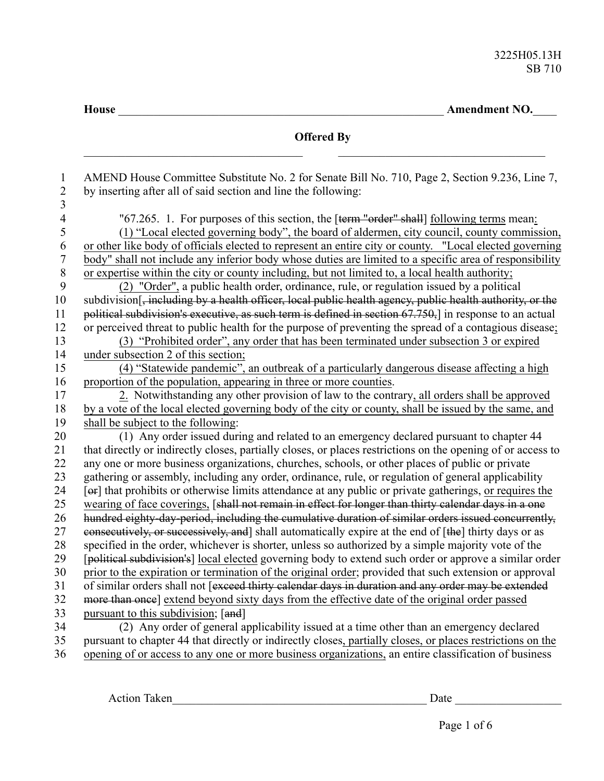**House** \_\_\_\_\_\_\_\_\_\_\_\_\_\_\_\_\_\_\_\_\_\_\_\_\_\_\_\_\_\_\_\_\_\_\_\_\_\_\_\_\_\_\_\_\_\_\_\_\_\_\_\_\_\_\_ **Amendment NO.**\_\_\_\_

| AMEND House Committee Substitute No. 2 for Senate Bill No. 710, Page 2, Section 9.236, Line 7,<br>$\mathbf{1}$<br>$\sqrt{2}$<br>by inserting after all of said section and line the following:<br>3<br>$\overline{\mathbf{4}}$<br>"67.265. 1. For purposes of this section, the [term "order" shall] following terms mean:<br>5<br>(1) "Local elected governing body", the board of aldermen, city council, county commission,<br>6<br>or other like body of officials elected to represent an entire city or county. "Local elected governing<br>$\overline{7}$<br>body" shall not include any inferior body whose duties are limited to a specific area of responsibility<br>$\, 8$<br>or expertise within the city or county including, but not limited to, a local health authority;<br>9<br>(2) "Order", a public health order, ordinance, rule, or regulation issued by a political<br>10<br>subdivision[, including by a health officer, local public health agency, public health authority, or the<br>political subdivision's executive, as such term is defined in section 67.750, in response to an actual<br>11<br>or perceived threat to public health for the purpose of preventing the spread of a contagious disease;<br>12<br>13<br>(3) "Prohibited order", any order that has been terminated under subsection 3 or expired<br>14<br>under subsection 2 of this section;<br>(4) "Statewide pandemic", an outbreak of a particularly dangerous disease affecting a high<br>15 |
|------------------------------------------------------------------------------------------------------------------------------------------------------------------------------------------------------------------------------------------------------------------------------------------------------------------------------------------------------------------------------------------------------------------------------------------------------------------------------------------------------------------------------------------------------------------------------------------------------------------------------------------------------------------------------------------------------------------------------------------------------------------------------------------------------------------------------------------------------------------------------------------------------------------------------------------------------------------------------------------------------------------------------------------------------------------------------------------------------------------------------------------------------------------------------------------------------------------------------------------------------------------------------------------------------------------------------------------------------------------------------------------------------------------------------------------------------------------------------------------------|
|                                                                                                                                                                                                                                                                                                                                                                                                                                                                                                                                                                                                                                                                                                                                                                                                                                                                                                                                                                                                                                                                                                                                                                                                                                                                                                                                                                                                                                                                                                |
|                                                                                                                                                                                                                                                                                                                                                                                                                                                                                                                                                                                                                                                                                                                                                                                                                                                                                                                                                                                                                                                                                                                                                                                                                                                                                                                                                                                                                                                                                                |
|                                                                                                                                                                                                                                                                                                                                                                                                                                                                                                                                                                                                                                                                                                                                                                                                                                                                                                                                                                                                                                                                                                                                                                                                                                                                                                                                                                                                                                                                                                |
|                                                                                                                                                                                                                                                                                                                                                                                                                                                                                                                                                                                                                                                                                                                                                                                                                                                                                                                                                                                                                                                                                                                                                                                                                                                                                                                                                                                                                                                                                                |
|                                                                                                                                                                                                                                                                                                                                                                                                                                                                                                                                                                                                                                                                                                                                                                                                                                                                                                                                                                                                                                                                                                                                                                                                                                                                                                                                                                                                                                                                                                |
|                                                                                                                                                                                                                                                                                                                                                                                                                                                                                                                                                                                                                                                                                                                                                                                                                                                                                                                                                                                                                                                                                                                                                                                                                                                                                                                                                                                                                                                                                                |
|                                                                                                                                                                                                                                                                                                                                                                                                                                                                                                                                                                                                                                                                                                                                                                                                                                                                                                                                                                                                                                                                                                                                                                                                                                                                                                                                                                                                                                                                                                |
|                                                                                                                                                                                                                                                                                                                                                                                                                                                                                                                                                                                                                                                                                                                                                                                                                                                                                                                                                                                                                                                                                                                                                                                                                                                                                                                                                                                                                                                                                                |
|                                                                                                                                                                                                                                                                                                                                                                                                                                                                                                                                                                                                                                                                                                                                                                                                                                                                                                                                                                                                                                                                                                                                                                                                                                                                                                                                                                                                                                                                                                |
|                                                                                                                                                                                                                                                                                                                                                                                                                                                                                                                                                                                                                                                                                                                                                                                                                                                                                                                                                                                                                                                                                                                                                                                                                                                                                                                                                                                                                                                                                                |
|                                                                                                                                                                                                                                                                                                                                                                                                                                                                                                                                                                                                                                                                                                                                                                                                                                                                                                                                                                                                                                                                                                                                                                                                                                                                                                                                                                                                                                                                                                |
|                                                                                                                                                                                                                                                                                                                                                                                                                                                                                                                                                                                                                                                                                                                                                                                                                                                                                                                                                                                                                                                                                                                                                                                                                                                                                                                                                                                                                                                                                                |
|                                                                                                                                                                                                                                                                                                                                                                                                                                                                                                                                                                                                                                                                                                                                                                                                                                                                                                                                                                                                                                                                                                                                                                                                                                                                                                                                                                                                                                                                                                |
| 16<br>proportion of the population, appearing in three or more counties.                                                                                                                                                                                                                                                                                                                                                                                                                                                                                                                                                                                                                                                                                                                                                                                                                                                                                                                                                                                                                                                                                                                                                                                                                                                                                                                                                                                                                       |
| 2. Notwithstanding any other provision of law to the contrary, all orders shall be approved<br>17                                                                                                                                                                                                                                                                                                                                                                                                                                                                                                                                                                                                                                                                                                                                                                                                                                                                                                                                                                                                                                                                                                                                                                                                                                                                                                                                                                                              |
| 18<br>by a vote of the local elected governing body of the city or county, shall be issued by the same, and                                                                                                                                                                                                                                                                                                                                                                                                                                                                                                                                                                                                                                                                                                                                                                                                                                                                                                                                                                                                                                                                                                                                                                                                                                                                                                                                                                                    |
| 19<br>shall be subject to the following:                                                                                                                                                                                                                                                                                                                                                                                                                                                                                                                                                                                                                                                                                                                                                                                                                                                                                                                                                                                                                                                                                                                                                                                                                                                                                                                                                                                                                                                       |
| (1) Any order issued during and related to an emergency declared pursuant to chapter 44<br>20                                                                                                                                                                                                                                                                                                                                                                                                                                                                                                                                                                                                                                                                                                                                                                                                                                                                                                                                                                                                                                                                                                                                                                                                                                                                                                                                                                                                  |
| that directly or indirectly closes, partially closes, or places restrictions on the opening of or access to<br>21                                                                                                                                                                                                                                                                                                                                                                                                                                                                                                                                                                                                                                                                                                                                                                                                                                                                                                                                                                                                                                                                                                                                                                                                                                                                                                                                                                              |
| any one or more business organizations, churches, schools, or other places of public or private<br>22                                                                                                                                                                                                                                                                                                                                                                                                                                                                                                                                                                                                                                                                                                                                                                                                                                                                                                                                                                                                                                                                                                                                                                                                                                                                                                                                                                                          |
| 23<br>gathering or assembly, including any order, ordinance, rule, or regulation of general applicability                                                                                                                                                                                                                                                                                                                                                                                                                                                                                                                                                                                                                                                                                                                                                                                                                                                                                                                                                                                                                                                                                                                                                                                                                                                                                                                                                                                      |
| [ex] that prohibits or otherwise limits attendance at any public or private gatherings, or requires the<br>24                                                                                                                                                                                                                                                                                                                                                                                                                                                                                                                                                                                                                                                                                                                                                                                                                                                                                                                                                                                                                                                                                                                                                                                                                                                                                                                                                                                  |
| wearing of face coverings, [shall not remain in effect for longer than thirty calendar days in a one<br>25                                                                                                                                                                                                                                                                                                                                                                                                                                                                                                                                                                                                                                                                                                                                                                                                                                                                                                                                                                                                                                                                                                                                                                                                                                                                                                                                                                                     |
| hundred eighty-day-period, including the cumulative duration of similar orders issued concurrently,<br>26                                                                                                                                                                                                                                                                                                                                                                                                                                                                                                                                                                                                                                                                                                                                                                                                                                                                                                                                                                                                                                                                                                                                                                                                                                                                                                                                                                                      |
| 27<br>consecutively, or successively, and] shall automatically expire at the end of [the] thirty days or as                                                                                                                                                                                                                                                                                                                                                                                                                                                                                                                                                                                                                                                                                                                                                                                                                                                                                                                                                                                                                                                                                                                                                                                                                                                                                                                                                                                    |
| 28<br>specified in the order, whichever is shorter, unless so authorized by a simple majority vote of the                                                                                                                                                                                                                                                                                                                                                                                                                                                                                                                                                                                                                                                                                                                                                                                                                                                                                                                                                                                                                                                                                                                                                                                                                                                                                                                                                                                      |
| 29<br>[political subdivision's] local elected governing body to extend such order or approve a similar order                                                                                                                                                                                                                                                                                                                                                                                                                                                                                                                                                                                                                                                                                                                                                                                                                                                                                                                                                                                                                                                                                                                                                                                                                                                                                                                                                                                   |
| 30<br>prior to the expiration or termination of the original order; provided that such extension or approval                                                                                                                                                                                                                                                                                                                                                                                                                                                                                                                                                                                                                                                                                                                                                                                                                                                                                                                                                                                                                                                                                                                                                                                                                                                                                                                                                                                   |
| of similar orders shall not [exceed thirty calendar days in duration and any order may be extended<br>31                                                                                                                                                                                                                                                                                                                                                                                                                                                                                                                                                                                                                                                                                                                                                                                                                                                                                                                                                                                                                                                                                                                                                                                                                                                                                                                                                                                       |
| more than once] extend beyond sixty days from the effective date of the original order passed<br>32                                                                                                                                                                                                                                                                                                                                                                                                                                                                                                                                                                                                                                                                                                                                                                                                                                                                                                                                                                                                                                                                                                                                                                                                                                                                                                                                                                                            |
| 33<br>pursuant to this subdivision; [and]<br>34                                                                                                                                                                                                                                                                                                                                                                                                                                                                                                                                                                                                                                                                                                                                                                                                                                                                                                                                                                                                                                                                                                                                                                                                                                                                                                                                                                                                                                                |
| (2) Any order of general applicability issued at a time other than an emergency declared<br>35<br>pursuant to chapter 44 that directly or indirectly closes, partially closes, or places restrictions on the                                                                                                                                                                                                                                                                                                                                                                                                                                                                                                                                                                                                                                                                                                                                                                                                                                                                                                                                                                                                                                                                                                                                                                                                                                                                                   |
| opening of or access to any one or more business organizations, an entire classification of business<br>36                                                                                                                                                                                                                                                                                                                                                                                                                                                                                                                                                                                                                                                                                                                                                                                                                                                                                                                                                                                                                                                                                                                                                                                                                                                                                                                                                                                     |

Action Taken\_\_\_\_\_\_\_\_\_\_\_\_\_\_\_\_\_\_\_\_\_\_\_\_\_\_\_\_\_\_\_\_\_\_\_\_\_\_\_\_\_\_\_ Date \_\_\_\_\_\_\_\_\_\_\_\_\_\_\_\_\_\_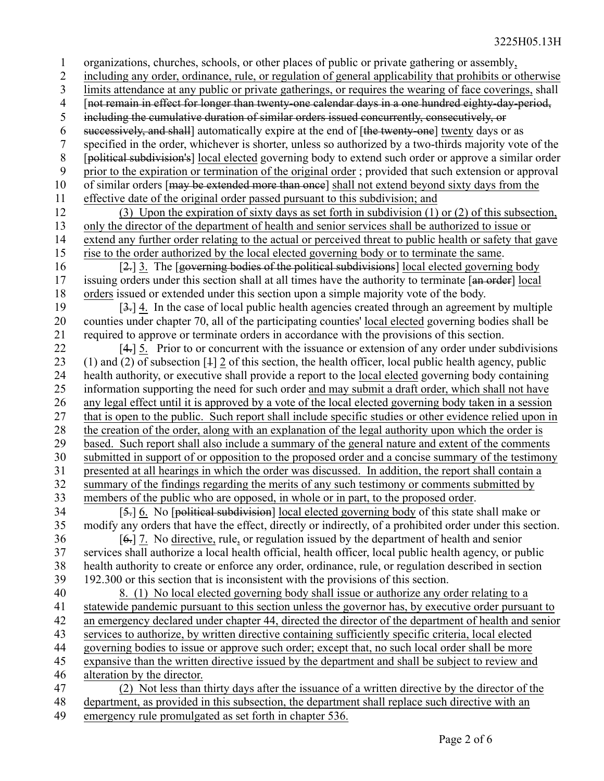organizations, churches, schools, or other places of public or private gathering or assembly, including any order, ordinance, rule, or regulation of general applicability that prohibits or otherwise limits attendance at any public or private gatherings, or requires the wearing of face coverings, shall [not remain in effect for longer than twenty-one calendar days in a one hundred eighty-day-period, including the cumulative duration of similar orders issued concurrently, consecutively, or successively, and shall] automatically expire at the end of [the twenty-one] twenty days or as specified in the order, whichever is shorter, unless so authorized by a two-thirds majority vote of the [political subdivision's] local elected governing body to extend such order or approve a similar order prior to the expiration or termination of the original order ; provided that such extension or approval of similar orders [may be extended more than once] shall not extend beyond sixty days from the effective date of the original order passed pursuant to this subdivision; and (3) Upon the expiration of sixty days as set forth in subdivision (1) or (2) of this subsection, only the director of the department of health and senior services shall be authorized to issue or extend any further order relating to the actual or perceived threat to public health or safety that gave rise to the order authorized by the local elected governing body or to terminate the same. [2.] 3. The [governing bodies of the political subdivisions] local elected governing body issuing orders under this section shall at all times have the authority to terminate [an order] local orders issued or extended under this section upon a simple majority vote of the body. [3.] 4. In the case of local public health agencies created through an agreement by multiple counties under chapter 70, all of the participating counties' local elected governing bodies shall be required to approve or terminate orders in accordance with the provisions of this section. [4.] 5. Prior to or concurrent with the issuance or extension of any order under subdivisions (1) and (2) of subsection [1] 2 of this section, the health officer, local public health agency, public health authority, or executive shall provide a report to the local elected governing body containing information supporting the need for such order and may submit a draft order, which shall not have any legal effect until it is approved by a vote of the local elected governing body taken in a session that is open to the public. Such report shall include specific studies or other evidence relied upon in the creation of the order, along with an explanation of the legal authority upon which the order is based. Such report shall also include a summary of the general nature and extent of the comments submitted in support of or opposition to the proposed order and a concise summary of the testimony presented at all hearings in which the order was discussed. In addition, the report shall contain a summary of the findings regarding the merits of any such testimony or comments submitted by members of the public who are opposed, in whole or in part, to the proposed order. [5.] 6. No [political subdivision] local elected governing body of this state shall make or modify any orders that have the effect, directly or indirectly, of a prohibited order under this section. [6.] 7. No directive, rule, or regulation issued by the department of health and senior services shall authorize a local health official, health officer, local public health agency, or public health authority to create or enforce any order, ordinance, rule, or regulation described in section 192.300 or this section that is inconsistent with the provisions of this section. 8. (1) No local elected governing body shall issue or authorize any order relating to a statewide pandemic pursuant to this section unless the governor has, by executive order pursuant to an emergency declared under chapter 44, directed the director of the department of health and senior services to authorize, by written directive containing sufficiently specific criteria, local elected governing bodies to issue or approve such order; except that, no such local order shall be more expansive than the written directive issued by the department and shall be subject to review and alteration by the director. (2) Not less than thirty days after the issuance of a written directive by the director of the department, as provided in this subsection, the department shall replace such directive with an emergency rule promulgated as set forth in chapter 536. 1 2 3 4 5 6 7 8 9 10 11 12 13 14 15 16 17 18 19 20 21 22 23 24 25 26 27 28 29 30 31 32 33 34 35 36 37 38 39 40 41 42 43 44 45 46 47 48 49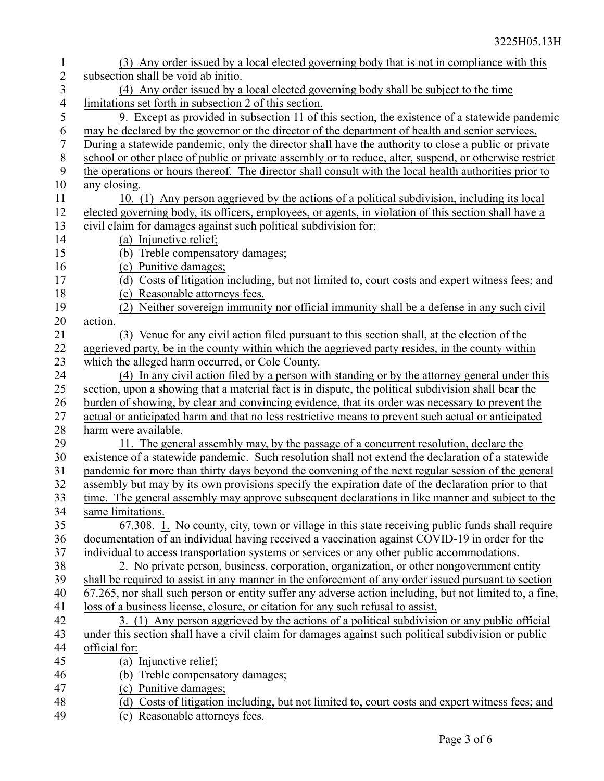| $\mathbf{1}$   | (3) Any order issued by a local elected governing body that is not in compliance with this               |
|----------------|----------------------------------------------------------------------------------------------------------|
| $\sqrt{2}$     | subsection shall be void ab initio.                                                                      |
| 3              | (4) Any order issued by a local elected governing body shall be subject to the time                      |
| $\overline{4}$ | limitations set forth in subsection 2 of this section.                                                   |
| 5              | 9. Except as provided in subsection 11 of this section, the existence of a statewide pandemic            |
| 6              | may be declared by the governor or the director of the department of health and senior services.         |
| $\tau$         | During a statewide pandemic, only the director shall have the authority to close a public or private     |
| $\,8\,$        | school or other place of public or private assembly or to reduce, alter, suspend, or otherwise restrict  |
| 9              | the operations or hours thereof. The director shall consult with the local health authorities prior to   |
| 10             | any closing.                                                                                             |
| 11             | 10. (1) Any person aggrieved by the actions of a political subdivision, including its local              |
| 12             | elected governing body, its officers, employees, or agents, in violation of this section shall have a    |
| 13             | civil claim for damages against such political subdivision for:                                          |
| 14             | (a) Injunctive relief;                                                                                   |
| 15             | (b) Treble compensatory damages;                                                                         |
| 16             | (c) Punitive damages;                                                                                    |
| 17             | (d) Costs of litigation including, but not limited to, court costs and expert witness fees; and          |
| 18             | (e) Reasonable attorneys fees.                                                                           |
| 19             | (2) Neither sovereign immunity nor official immunity shall be a defense in any such civil                |
| 20             | action.                                                                                                  |
| 21             | (3) Venue for any civil action filed pursuant to this section shall, at the election of the              |
| 22             | aggrieved party, be in the county within which the aggrieved party resides, in the county within         |
| 23             | which the alleged harm occurred, or Cole County.                                                         |
| 24             | (4) In any civil action filed by a person with standing or by the attorney general under this            |
| 25             | section, upon a showing that a material fact is in dispute, the political subdivision shall bear the     |
| 26             | burden of showing, by clear and convincing evidence, that its order was necessary to prevent the         |
| 27             | actual or anticipated harm and that no less restrictive means to prevent such actual or anticipated      |
| 28             | harm were available.                                                                                     |
| 29             | 11. The general assembly may, by the passage of a concurrent resolution, declare the                     |
| 30             | existence of a statewide pandemic. Such resolution shall not extend the declaration of a statewide       |
| 31             | pandemic for more than thirty days beyond the convening of the next regular session of the general       |
| 32             | assembly but may by its own provisions specify the expiration date of the declaration prior to that      |
| 33             | time. The general assembly may approve subsequent declarations in like manner and subject to the         |
| 34             | same limitations.                                                                                        |
| 35             | 67.308. 1. No county, city, town or village in this state receiving public funds shall require           |
| 36             | documentation of an individual having received a vaccination against COVID-19 in order for the           |
| 37             | individual to access transportation systems or services or any other public accommodations.              |
| 38             | 2. No private person, business, corporation, organization, or other nongovernment entity                 |
| 39             | shall be required to assist in any manner in the enforcement of any order issued pursuant to section     |
| 40             | 67.265, nor shall such person or entity suffer any adverse action including, but not limited to, a fine, |
| 41             | loss of a business license, closure, or citation for any such refusal to assist.                         |
| 42             | 3. (1) Any person aggrieved by the actions of a political subdivision or any public official             |
| 43             | under this section shall have a civil claim for damages against such political subdivision or public     |
| 44             | official for:                                                                                            |
| 45             | (a) Injunctive relief;                                                                                   |
| 46             | (b) Treble compensatory damages;                                                                         |
| 47             | (c) Punitive damages;                                                                                    |
| 48             | (d) Costs of litigation including, but not limited to, court costs and expert witness fees; and          |
| 49             | (e) Reasonable attorneys fees.                                                                           |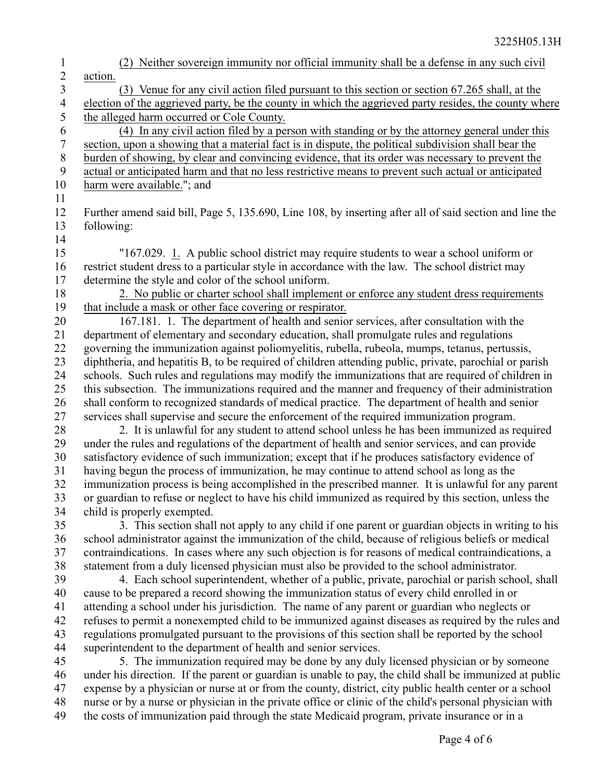(2) Neither sovereign immunity nor official immunity shall be a defense in any such civil action. (3) Venue for any civil action filed pursuant to this section or section 67.265 shall, at the election of the aggrieved party, be the county in which the aggrieved party resides, the county where the alleged harm occurred or Cole County. (4) In any civil action filed by a person with standing or by the attorney general under this section, upon a showing that a material fact is in dispute, the political subdivision shall bear the burden of showing, by clear and convincing evidence, that its order was necessary to prevent the actual or anticipated harm and that no less restrictive means to prevent such actual or anticipated harm were available."; and Further amend said bill, Page 5, 135.690, Line 108, by inserting after all of said section and line the following: "167.029. 1. A public school district may require students to wear a school uniform or restrict student dress to a particular style in accordance with the law. The school district may determine the style and color of the school uniform. 2. No public or charter school shall implement or enforce any student dress requirements that include a mask or other face covering or respirator. 167.181. 1. The department of health and senior services, after consultation with the department of elementary and secondary education, shall promulgate rules and regulations governing the immunization against poliomyelitis, rubella, rubeola, mumps, tetanus, pertussis, diphtheria, and hepatitis B, to be required of children attending public, private, parochial or parish schools. Such rules and regulations may modify the immunizations that are required of children in this subsection. The immunizations required and the manner and frequency of their administration shall conform to recognized standards of medical practice. The department of health and senior services shall supervise and secure the enforcement of the required immunization program. 2. It is unlawful for any student to attend school unless he has been immunized as required under the rules and regulations of the department of health and senior services, and can provide satisfactory evidence of such immunization; except that if he produces satisfactory evidence of having begun the process of immunization, he may continue to attend school as long as the immunization process is being accomplished in the prescribed manner. It is unlawful for any parent or guardian to refuse or neglect to have his child immunized as required by this section, unless the child is properly exempted. 3. This section shall not apply to any child if one parent or guardian objects in writing to his school administrator against the immunization of the child, because of religious beliefs or medical contraindications. In cases where any such objection is for reasons of medical contraindications, a statement from a duly licensed physician must also be provided to the school administrator. 4. Each school superintendent, whether of a public, private, parochial or parish school, shall cause to be prepared a record showing the immunization status of every child enrolled in or attending a school under his jurisdiction. The name of any parent or guardian who neglects or refuses to permit a nonexempted child to be immunized against diseases as required by the rules and regulations promulgated pursuant to the provisions of this section shall be reported by the school superintendent to the department of health and senior services. 5. The immunization required may be done by any duly licensed physician or by someone under his direction. If the parent or guardian is unable to pay, the child shall be immunized at public expense by a physician or nurse at or from the county, district, city public health center or a school nurse or by a nurse or physician in the private office or clinic of the child's personal physician with the costs of immunization paid through the state Medicaid program, private insurance or in a 1 2 3 4 5 6 7 8 9 10 11 12 13 14 15 16 17 18 19 20 21 22 23 24 25 26 27 28 29 30 31 32 33 34 35 36 37 38 39 40 41 42 43 44 45 46 47 48 49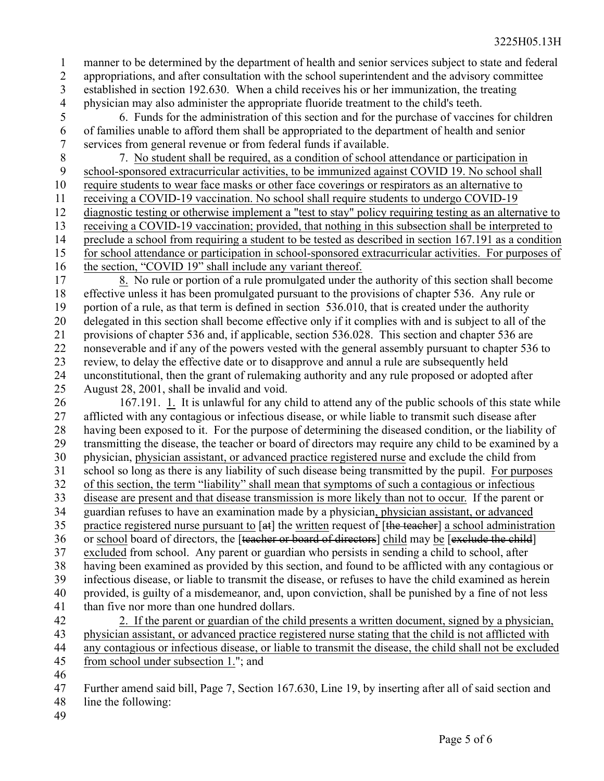manner to be determined by the department of health and senior services subject to state and federal appropriations, and after consultation with the school superintendent and the advisory committee established in section 192.630. When a child receives his or her immunization, the treating physician may also administer the appropriate fluoride treatment to the child's teeth. 1 2 3 4

6. Funds for the administration of this section and for the purchase of vaccines for children of families unable to afford them shall be appropriated to the department of health and senior services from general revenue or from federal funds if available. 5 6 7

7. No student shall be required, as a condition of school attendance or participation in school-sponsored extracurricular activities, to be immunized against COVID 19. No school shall require students to wear face masks or other face coverings or respirators as an alternative to receiving a COVID-19 vaccination. No school shall require students to undergo COVID-19 diagnostic testing or otherwise implement a "test to stay" policy requiring testing as an alternative to receiving a COVID-19 vaccination; provided, that nothing in this subsection shall be interpreted to preclude a school from requiring a student to be tested as described in section 167.191 as a condition for school attendance or participation in school-sponsored extracurricular activities. For purposes of the section, "COVID 19" shall include any variant thereof. 8 9 10 11 12 13 14 15 16

8. No rule or portion of a rule promulgated under the authority of this section shall become effective unless it has been promulgated pursuant to the provisions of chapter 536. Any rule or portion of a rule, as that term is defined in section 536.010, that is created under the authority delegated in this section shall become effective only if it complies with and is subject to all of the provisions of chapter 536 and, if applicable, section 536.028. This section and chapter 536 are nonseverable and if any of the powers vested with the general assembly pursuant to chapter 536 to review, to delay the effective date or to disapprove and annul a rule are subsequently held unconstitutional, then the grant of rulemaking authority and any rule proposed or adopted after August 28, 2001, shall be invalid and void. 17 18 19 20 21 22 23 24 25

167.191. 1. It is unlawful for any child to attend any of the public schools of this state while afflicted with any contagious or infectious disease, or while liable to transmit such disease after having been exposed to it. For the purpose of determining the diseased condition, or the liability of transmitting the disease, the teacher or board of directors may require any child to be examined by a physician, physician assistant, or advanced practice registered nurse and exclude the child from school so long as there is any liability of such disease being transmitted by the pupil. For purposes of this section, the term "liability" shall mean that symptoms of such a contagious or infectious disease are present and that disease transmission is more likely than not to occur. If the parent or guardian refuses to have an examination made by a physician, physician assistant, or advanced practice registered nurse pursuant to [at] the written request of [the teacher] a school administration or school board of directors, the [teacher or board of directors] child may be [exclude the child] excluded from school. Any parent or guardian who persists in sending a child to school, after having been examined as provided by this section, and found to be afflicted with any contagious or infectious disease, or liable to transmit the disease, or refuses to have the child examined as herein provided, is guilty of a misdemeanor, and, upon conviction, shall be punished by a fine of not less than five nor more than one hundred dollars. 2. If the parent or guardian of the child presents a written document, signed by a physician, 26 27 28 29 30 31 32 33 34 35 36 37 38 39 40 41 42

physician assistant, or advanced practice registered nurse stating that the child is not afflicted with any contagious or infectious disease, or liable to transmit the disease, the child shall not be excluded from school under subsection 1."; and 43 44 45

46

Further amend said bill, Page 7, Section 167.630, Line 19, by inserting after all of said section and 47

line the following: 48

49